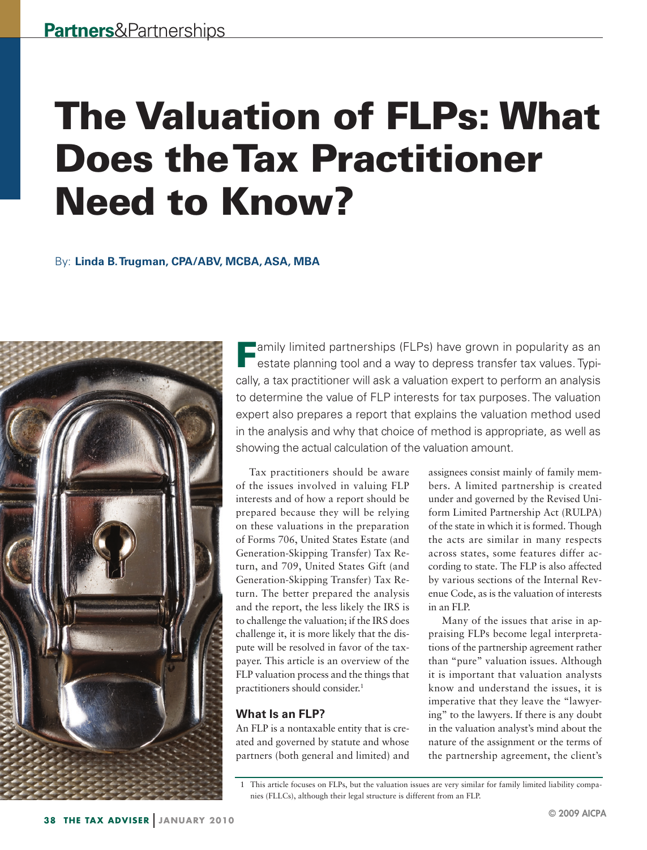# The Valuation of FLPs: What Does the Tax Practitioner Need to Know?

# By:  **Linda B.Trugman, CPA/ABV, MCBA, ASA, MBA**



**Family limited partnerships (FLPs) have grown in popularity as an**  $\blacksquare$  estate planning tool and a way to depress transfer tax values. Typically, a tax practitioner will ask a valuation expert to perform an analysis to determine the value of FLP interests for tax purposes. The valuation expert also prepares a report that explains the valuation method used in the analysis and why that choice of method is appropriate, as well as showing the actual calculation of the valuation amount.

Tax practitioners should be aware of the issues involved in valuing FLP interests and of how a report should be prepared because they will be relying on these valuations in the preparation of Forms 706, United States Estate (and Generation-Skipping Transfer) Tax Return, and 709, United States Gift (and Generation-Skipping Transfer) Tax Return. The better prepared the analysis and the report, the less likely the IRS is to challenge the valuation; if the IRS does challenge it, it is more likely that the dispute will be resolved in favor of the taxpayer. This article is an overview of the FLP valuation process and the things that practitioners should consider.<sup>1</sup>

# **What Is an FLP?**

An FLP is a nontaxable entity that is created and governed by statute and whose partners (both general and limited) and

assignees consist mainly of family members. A limited partnership is created under and governed by the Revised Uniform Limited Partnership Act (RULPA) of the state in which it is formed. Though the acts are similar in many respects across states, some features differ according to state. The FLP is also affected by various sections of the Internal Revenue Code, as is the valuation of interests in an FLP.

Many of the issues that arise in appraising FLPs become legal interpretations of the partnership agreement rather than "pure" valuation issues. Although it is important that valuation analysts know and understand the issues, it is imperative that they leave the "lawyering" to the lawyers. If there is any doubt in the valuation analyst's mind about the nature of the assignment or the terms of the partnership agreement, the client's

 <sup>1</sup> This article focuses on FLPs, but the valuation issues are very similar for family limited liability companies (FLLCs), although their legal structure is different from an FLP.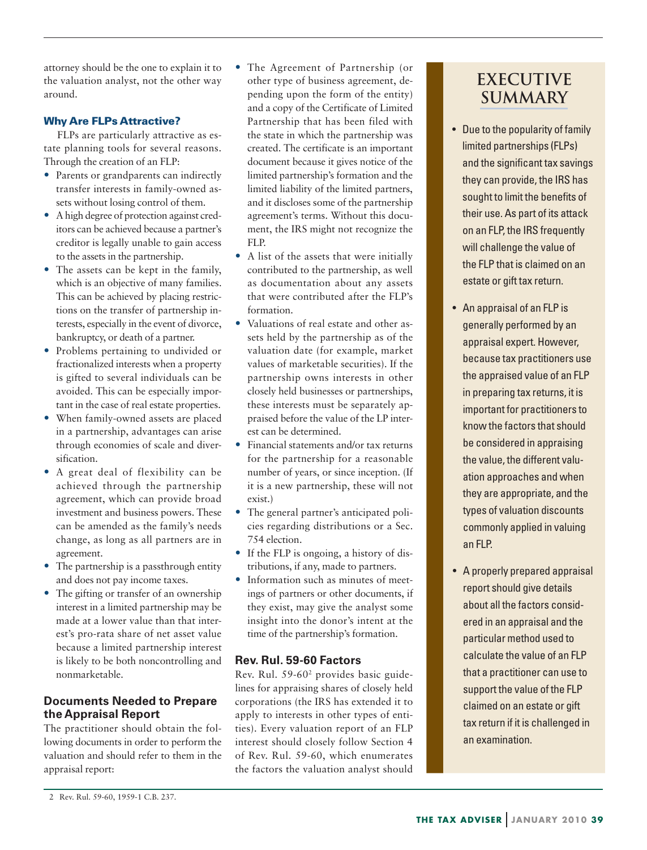attorney should be the one to explain it to the valuation analyst, not the other way around.

### Why Are FLPs Attractive?

FLPs are particularly attractive as estate planning tools for several reasons. Through the creation of an FLP:

- Parents or grandparents can indirectly transfer interests in family-owned assets without losing control of them.
- A high degree of protection against creditors can be achieved because a partner's creditor is legally unable to gain access to the assets in the partnership.
- The assets can be kept in the family, which is an objective of many families. This can be achieved by placing restrictions on the transfer of partnership interests, especially in the event of divorce, bankruptcy, or death of a partner.
- Problems pertaining to undivided or fractionalized interests when a property is gifted to several individuals can be avoided. This can be especially important in the case of real estate properties.
- When family-owned assets are placed in a partnership, advantages can arise through economies of scale and diversification.
- A great deal of flexibility can be achieved through the partnership agreement, which can provide broad investment and business powers. These can be amended as the family's needs change, as long as all partners are in agreement.
- The partnership is a passthrough entity and does not pay income taxes.
- The gifting or transfer of an ownership interest in a limited partnership may be made at a lower value than that interest's pro-rata share of net asset value because a limited partnership interest is likely to be both noncontrolling and nonmarketable.

# **Documents Needed to Prepare the Appraisal Report**

The practitioner should obtain the following documents in order to perform the valuation and should refer to them in the appraisal report:

- The Agreement of Partnership (or other type of business agreement, depending upon the form of the entity) and a copy of the Certificate of Limited Partnership that has been filed with the state in which the partnership was created. The certificate is an important document because it gives notice of the limited partnership's formation and the limited liability of the limited partners, and it discloses some of the partnership agreement's terms. Without this document, the IRS might not recognize the FLP.
- A list of the assets that were initially contributed to the partnership, as well as documentation about any assets that were contributed after the FLP's formation.
- Valuations of real estate and other assets held by the partnership as of the valuation date (for example, market values of marketable securities). If the partnership owns interests in other closely held businesses or partnerships, these interests must be separately appraised before the value of the LP interest can be determined.
- Financial statements and/or tax returns for the partnership for a reasonable number of years, or since inception. (If it is a new partnership, these will not exist.)
- The general partner's anticipated policies regarding distributions or a Sec. 754 election.
- If the FLP is ongoing, a history of distributions, if any, made to partners.
- Information such as minutes of meetings of partners or other documents, if they exist, may give the analyst some insight into the donor's intent at the time of the partnership's formation.

#### **Rev. Rul. 59-60 Factors**

Rev. Rul. 59-602 provides basic guidelines for appraising shares of closely held corporations (the IRS has extended it to apply to interests in other types of entities). Every valuation report of an FLP interest should closely follow Section 4 of Rev. Rul. 59-60, which enumerates the factors the valuation analyst should

# **EXECUTIVE SUMMARY**

- Due to the popularity of family limited partnerships (FLPs) and the significant tax savings they can provide, the IRS has sought to limit the benefits of their use. As part of its attack on an FLP, the IRS frequently will challenge the value of the FLP that is claimed on an estate or gift tax return.
- An appraisal of an FLP is generally performed by an appraisal expert. However, because tax practitioners use the appraised value of an FLP in preparing tax returns, it is important for practitioners to know the factors that should be considered in appraising the value, the different valuation approaches and when they are appropriate, and the types of valuation discounts commonly applied in valuing an FLP.
- A properly prepared appraisal report should give details about all the factors considered in an appraisal and the particular method used to calculate the value of an FLP that a practitioner can use to support the value of the FLP claimed on an estate or gift tax return if it is challenged in an examination.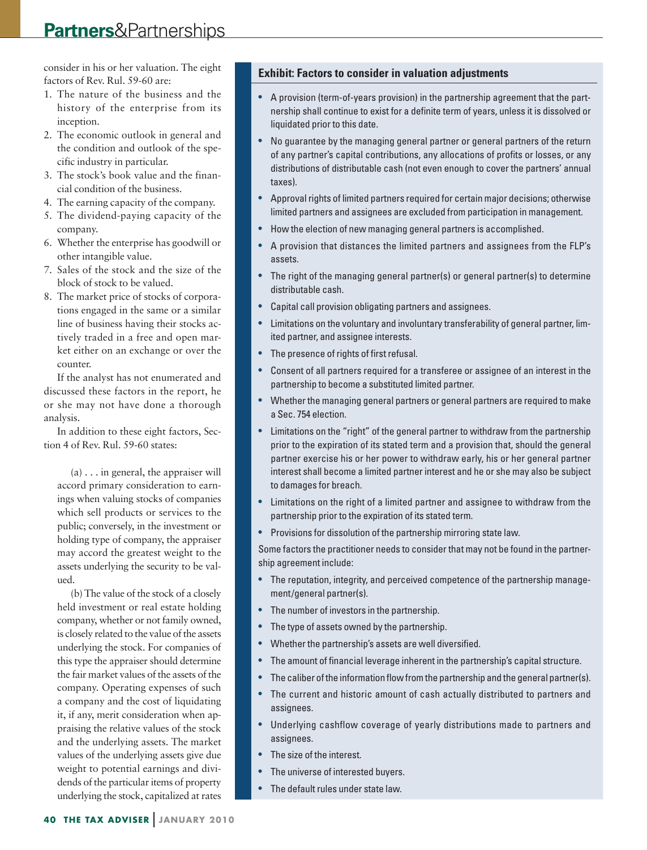# **Partners**&Partnerships

consider in his or her valuation. The eight factors of Rev. Rul. 59-60 are:

- 1. The nature of the business and the history of the enterprise from its inception.
- 2. The economic outlook in general and the condition and outlook of the specific industry in particular.
- 3. The stock's book value and the financial condition of the business.
- 4. The earning capacity of the company.
- 5. The dividend-paying capacity of the company.
- 6. Whether the enterprise has goodwill or other intangible value.
- 7. Sales of the stock and the size of the block of stock to be valued.
- 8. The market price of stocks of corporations engaged in the same or a similar line of business having their stocks actively traded in a free and open market either on an exchange or over the counter.

If the analyst has not enumerated and discussed these factors in the report, he or she may not have done a thorough analysis.

In addition to these eight factors, Section 4 of Rev. Rul. 59-60 states:

 $(a) \ldots$  in general, the appraiser will accord primary consideration to earnings when valuing stocks of companies which sell products or services to the public; conversely, in the investment or holding type of company, the appraiser may accord the greatest weight to the assets underlying the security to be valued.

(b) The value of the stock of a closely held investment or real estate holding company, whether or not family owned, is closely related to the value of the assets underlying the stock. For companies of this type the appraiser should determine the fair market values of the assets of the company. Operating expenses of such a company and the cost of liquidating it, if any, merit consideration when appraising the relative values of the stock and the underlying assets. The market values of the underlying assets give due weight to potential earnings and dividends of the particular items of property underlying the stock, capitalized at rates

#### **Exhibit: Factors to consider in valuation adjustments**

- A provision (term-of-years provision) in the partnership agreement that the partnership shall continue to exist for a definite term of years, unless it is dissolved or liquidated prior to this date.
- No guarantee by the managing general partner or general partners of the return of any partner's capital contributions, any allocations of profits or losses, or any distributions of distributable cash (not even enough to cover the partners' annual taxes).
- • Approval rights of limited partners required for certain major decisions; otherwise limited partners and assignees are excluded from participation in management.
- How the election of new managing general partners is accomplished.
- • A provision that distances the limited partners and assignees from the FLP's assets.
- The right of the managing general partner(s) or general partner(s) to determine distributable cash.
- Capital call provision obligating partners and assignees.
- Limitations on the voluntary and involuntary transferability of general partner, limited partner, and assignee interests.
- The presence of rights of first refusal.
- Consent of all partners required for a transferee or assignee of an interest in the partnership to become a substituted limited partner.
- Whether the managing general partners or general partners are required to make a Sec. 754 election.
- Limitations on the "right" of the general partner to withdraw from the partnership prior to the expiration of its stated term and a provision that, should the general partner exercise his or her power to withdraw early, his or her general partner interest shall become a limited partner interest and he or she may also be subject to damages for breach.
- • Limitations on the right of a limited partner and assignee to withdraw from the partnership prior to the expiration of its stated term.
- Provisions for dissolution of the partnership mirroring state law.

Some factors the practitioner needs to consider that may not be found in the partnership agreement include:

- The reputation, integrity, and perceived competence of the partnership management/general partner(s).
- The number of investors in the partnership.
- The type of assets owned by the partnership.
- Whether the partnership's assets are well diversified.
- The amount of financial leverage inherent in the partnership's capital structure.
- The caliber of the information flow from the partnership and the general partner(s).
- The current and historic amount of cash actually distributed to partners and assignees.
- Underlying cashflow coverage of yearly distributions made to partners and assignees.
- The size of the interest.
- The universe of interested buyers.
- The default rules under state law.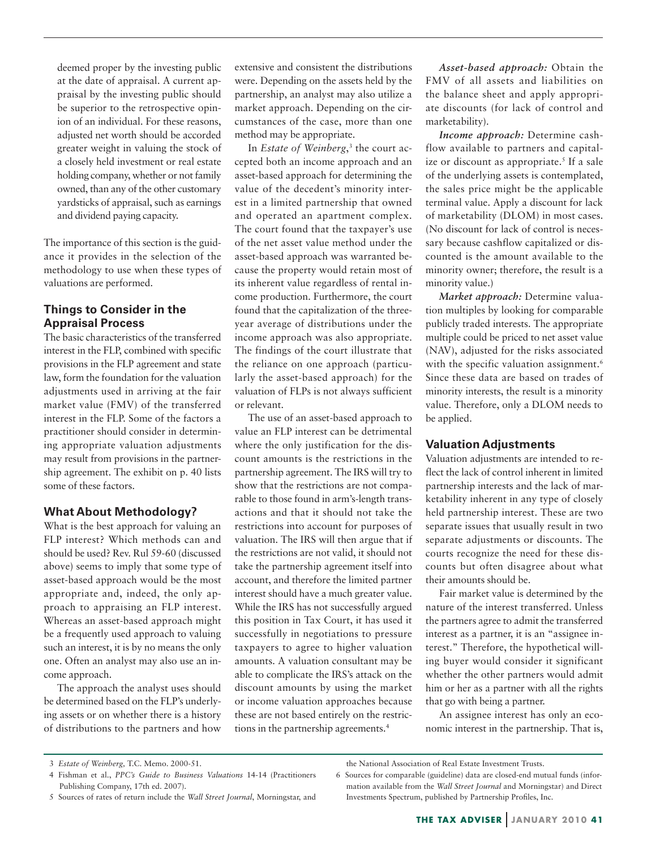deemed proper by the investing public at the date of appraisal. A current appraisal by the investing public should be superior to the retrospective opinion of an individual. For these reasons, adjusted net worth should be accorded greater weight in valuing the stock of a closely held investment or real estate holding company, whether or not family owned, than any of the other customary yardsticks of appraisal, such as earnings and dividend paying capacity.

The importance of this section is the guidance it provides in the selection of the methodology to use when these types of valuations are performed.

# **Things to Consider in the Appraisal Process**

The basic characteristics of the transferred interest in the FLP, combined with specific provisions in the FLP agreement and state law, form the foundation for the valuation adjustments used in arriving at the fair market value (FMV) of the transferred interest in the FLP. Some of the factors a practitioner should consider in determining appropriate valuation adjustments may result from provisions in the partnership agreement. The exhibit on p. 40 lists some of these factors.

#### **What About Methodology?**

What is the best approach for valuing an FLP interest? Which methods can and should be used? Rev. Rul 59-60 (discussed above) seems to imply that some type of asset-based approach would be the most appropriate and, indeed, the only approach to appraising an FLP interest. Whereas an asset-based approach might be a frequently used approach to valuing such an interest, it is by no means the only one. Often an analyst may also use an income approach.

The approach the analyst uses should be determined based on the FLP's underlying assets or on whether there is a history of distributions to the partners and how

extensive and consistent the distributions were. Depending on the assets held by the partnership, an analyst may also utilize a market approach. Depending on the circumstances of the case, more than one method may be appropriate.

In *Estate of Weinberg*, <sup>3</sup> the court accepted both an income approach and an asset-based approach for determining the value of the decedent's minority interest in a limited partnership that owned and operated an apartment complex. The court found that the taxpayer's use of the net asset value method under the asset-based approach was warranted because the property would retain most of its inherent value regardless of rental income production. Furthermore, the court found that the capitalization of the threeyear average of distributions under the income approach was also appropriate. The findings of the court illustrate that the reliance on one approach (particularly the asset-based approach) for the valuation of FLPs is not always sufficient or relevant.

The use of an asset-based approach to value an FLP interest can be detrimental where the only justification for the discount amounts is the restrictions in the partnership agreement. The IRS will try to show that the restrictions are not comparable to those found in arm's-length transactions and that it should not take the restrictions into account for purposes of valuation. The IRS will then argue that if the restrictions are not valid, it should not take the partnership agreement itself into account, and therefore the limited partner interest should have a much greater value. While the IRS has not successfully argued this position in Tax Court, it has used it successfully in negotiations to pressure taxpayers to agree to higher valuation amounts. A valuation consultant may be able to complicate the IRS's attack on the discount amounts by using the market or income valuation approaches because these are not based entirely on the restrictions in the partnership agreements.4

*Asset-based approach:* Obtain the FMV of all assets and liabilities on the balance sheet and apply appropriate discounts (for lack of control and marketability).

*Income approach:* Determine cashflow available to partners and capitalize or discount as appropriate.<sup>5</sup> If a sale of the underlying assets is contemplated, the sales price might be the applicable terminal value. Apply a discount for lack of marketability (DLOM) in most cases. (No discount for lack of control is necessary because cashflow capitalized or discounted is the amount available to the minority owner; therefore, the result is a minority value.)

*Market approach:* Determine valuation multiples by looking for comparable publicly traded interests. The appropriate multiple could be priced to net asset value (NAV), adjusted for the risks associated with the specific valuation assignment.<sup>6</sup> Since these data are based on trades of minority interests, the result is a minority value. Therefore, only a DLOM needs to be applied.

#### **Valuation Adjustments**

Valuation adjustments are intended to reflect the lack of control inherent in limited partnership interests and the lack of marketability inherent in any type of closely held partnership interest. These are two separate issues that usually result in two separate adjustments or discounts. The courts recognize the need for these discounts but often disagree about what their amounts should be.

Fair market value is determined by the nature of the interest transferred. Unless the partners agree to admit the transferred interest as a partner, it is an "assignee interest." Therefore, the hypothetical willing buyer would consider it significant whether the other partners would admit him or her as a partner with all the rights that go with being a partner.

An assignee interest has only an economic interest in the partnership. That is,

 <sup>3</sup> *Estate of Weinberg,* T.C. Memo. 2000-51.

 <sup>4</sup> Fishman et al., *PPC's Guide to Business Valuations* 14-14 (Practitioners Publishing Company, 17th ed. 2007).

 <sup>5</sup> Sources of rates of return include the *Wall Street Journal*, Morningstar, and

the National Association of Real Estate Investment Trusts. 6 Sources for comparable (guideline) data are closed-end mutual funds (infor-

mation available from the *Wall Street Journal* and Morningstar) and Direct Investments Spectrum, published by Partnership Profiles, Inc.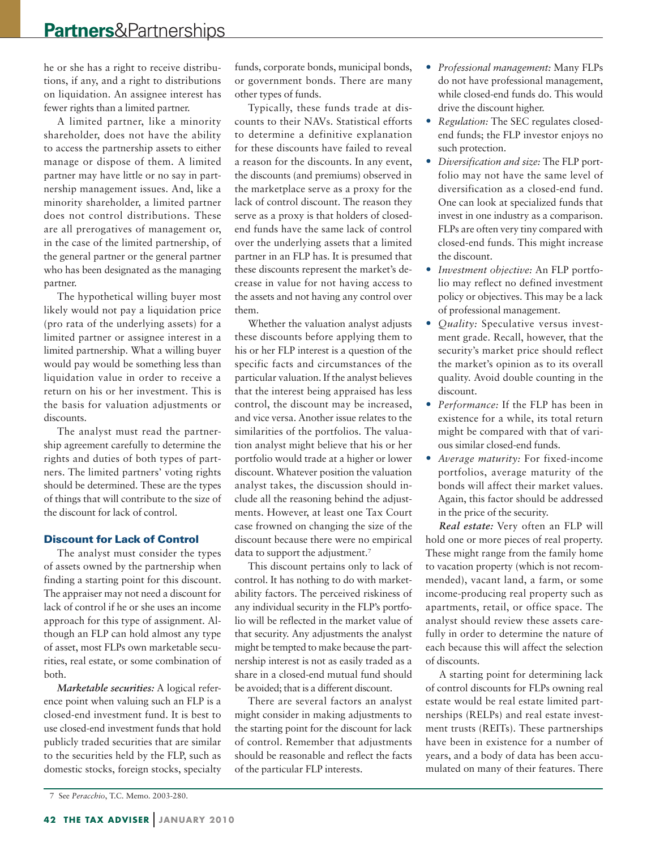he or she has a right to receive distributions, if any, and a right to distributions on liquidation. An assignee interest has fewer rights than a limited partner.

A limited partner, like a minority shareholder, does not have the ability to access the partnership assets to either manage or dispose of them. A limited partner may have little or no say in partnership management issues. And, like a minority shareholder, a limited partner does not control distributions. These are all prerogatives of management or, in the case of the limited partnership, of the general partner or the general partner who has been designated as the managing partner.

The hypothetical willing buyer most likely would not pay a liquidation price (pro rata of the underlying assets) for a limited partner or assignee interest in a limited partnership. What a willing buyer would pay would be something less than liquidation value in order to receive a return on his or her investment. This is the basis for valuation adjustments or discounts.

The analyst must read the partnership agreement carefully to determine the rights and duties of both types of partners. The limited partners' voting rights should be determined. These are the types of things that will contribute to the size of the discount for lack of control.

#### Discount for Lack of Control

The analyst must consider the types of assets owned by the partnership when finding a starting point for this discount. The appraiser may not need a discount for lack of control if he or she uses an income approach for this type of assignment. Although an FLP can hold almost any type of asset, most FLPs own marketable securities, real estate, or some combination of both.

*Marketable securities:* A logical reference point when valuing such an FLP is a closed-end investment fund. It is best to use closed-end investment funds that hold publicly traded securities that are similar to the securities held by the FLP, such as domestic stocks, foreign stocks, specialty

funds, corporate bonds, municipal bonds, or government bonds. There are many other types of funds.

Typically, these funds trade at discounts to their NAVs. Statistical efforts to determine a definitive explanation for these discounts have failed to reveal a reason for the discounts. In any event, the discounts (and premiums) observed in the marketplace serve as a proxy for the lack of control discount. The reason they serve as a proxy is that holders of closedend funds have the same lack of control over the underlying assets that a limited partner in an FLP has. It is presumed that these discounts represent the market's decrease in value for not having access to the assets and not having any control over them.

Whether the valuation analyst adjusts these discounts before applying them to his or her FLP interest is a question of the specific facts and circumstances of the particular valuation. If the analyst believes that the interest being appraised has less control, the discount may be increased, and vice versa. Another issue relates to the similarities of the portfolios. The valuation analyst might believe that his or her portfolio would trade at a higher or lower discount. Whatever position the valuation analyst takes, the discussion should include all the reasoning behind the adjustments. However, at least one Tax Court case frowned on changing the size of the discount because there were no empirical data to support the adjustment.<sup>7</sup>

This discount pertains only to lack of control. It has nothing to do with marketability factors. The perceived riskiness of any individual security in the FLP's portfolio will be reflected in the market value of that security. Any adjustments the analyst might be tempted to make because the partnership interest is not as easily traded as a share in a closed-end mutual fund should be avoided; that is a different discount.

There are several factors an analyst might consider in making adjustments to the starting point for the discount for lack of control. Remember that adjustments should be reasonable and reflect the facts of the particular FLP interests.

- *• Professional management:* Many FLPs do not have professional management, while closed-end funds do. This would drive the discount higher.
- *• Regulation:* The SEC regulates closedend funds; the FLP investor enjoys no such protection.
- *• Diversification and size:* The FLP portfolio may not have the same level of diversification as a closed-end fund. One can look at specialized funds that invest in one industry as a comparison. FLPs are often very tiny compared with closed-end funds. This might increase the discount.
- *• Investment objective:* An FLP portfolio may reflect no defined investment policy or objectives. This may be a lack of professional management.
- *• Quality:* Speculative versus investment grade. Recall, however, that the security's market price should reflect the market's opinion as to its overall quality. Avoid double counting in the discount.
- *• Performance:* If the FLP has been in existence for a while, its total return might be compared with that of various similar closed-end funds.
- *• Average maturity:* For fixed-income portfolios, average maturity of the bonds will affect their market values. Again, this factor should be addressed in the price of the security.

*Real estate:* Very often an FLP will hold one or more pieces of real property. These might range from the family home to vacation property (which is not recommended), vacant land, a farm, or some income-producing real property such as apartments, retail, or office space. The analyst should review these assets carefully in order to determine the nature of each because this will affect the selection of discounts.

A starting point for determining lack of control discounts for FLPs owning real estate would be real estate limited partnerships (RELPs) and real estate investment trusts (REITs). These partnerships have been in existence for a number of years, and a body of data has been accumulated on many of their features. There

 <sup>7</sup> See *Peracchio*, T.C. Memo. 2003-280.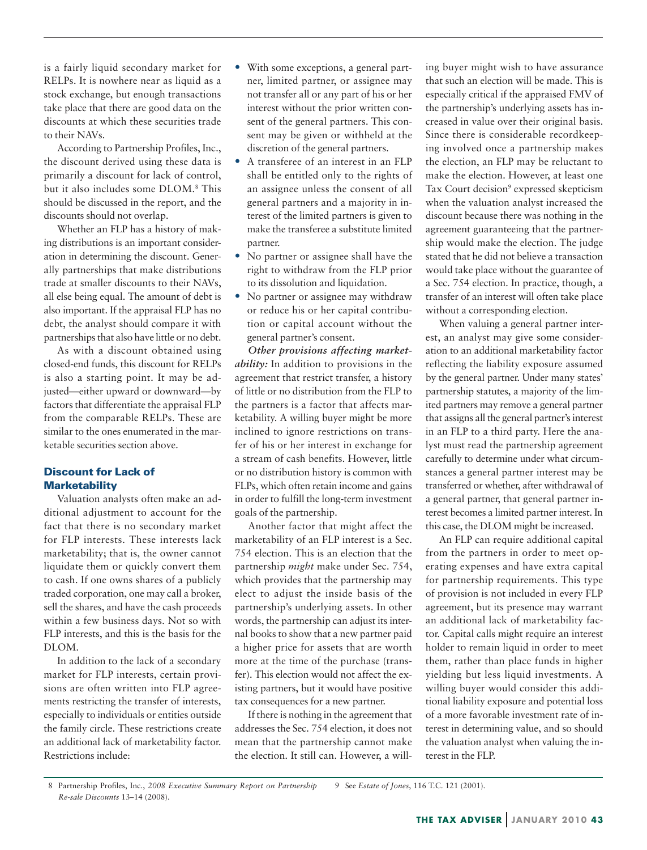is a fairly liquid secondary market for RELPs. It is nowhere near as liquid as a stock exchange, but enough transactions take place that there are good data on the discounts at which these securities trade to their NAVs.

According to Partnership Profiles, Inc., the discount derived using these data is primarily a discount for lack of control, but it also includes some DLOM.8 This should be discussed in the report, and the discounts should not overlap.

Whether an FLP has a history of making distributions is an important consideration in determining the discount. Generally partnerships that make distributions trade at smaller discounts to their NAVs, all else being equal. The amount of debt is also important. If the appraisal FLP has no debt, the analyst should compare it with partnerships that also have little or no debt.

As with a discount obtained using closed-end funds, this discount for RELPs is also a starting point. It may be adjusted—either upward or downward—by factors that differentiate the appraisal FLP from the comparable RELPs. These are similar to the ones enumerated in the marketable securities section above.

# Discount for Lack of **Marketability**

Valuation analysts often make an additional adjustment to account for the fact that there is no secondary market for FLP interests. These interests lack marketability; that is, the owner cannot liquidate them or quickly convert them to cash. If one owns shares of a publicly traded corporation, one may call a broker, sell the shares, and have the cash proceeds within a few business days. Not so with FLP interests, and this is the basis for the DLOM.

In addition to the lack of a secondary market for FLP interests, certain provisions are often written into FLP agreements restricting the transfer of interests, especially to individuals or entities outside the family circle. These restrictions create an additional lack of marketability factor. Restrictions include:

- With some exceptions, a general partner, limited partner, or assignee may not transfer all or any part of his or her interest without the prior written consent of the general partners. This consent may be given or withheld at the discretion of the general partners.
- A transferee of an interest in an FLP shall be entitled only to the rights of an assignee unless the consent of all general partners and a majority in interest of the limited partners is given to make the transferee a substitute limited partner.
- No partner or assignee shall have the right to withdraw from the FLP prior to its dissolution and liquidation.
- No partner or assignee may withdraw or reduce his or her capital contribution or capital account without the general partner's consent.

*Other provisions affecting marketability:* In addition to provisions in the agreement that restrict transfer, a history of little or no distribution from the FLP to the partners is a factor that affects marketability. A willing buyer might be more inclined to ignore restrictions on transfer of his or her interest in exchange for a stream of cash benefits. However, little or no distribution history is common with FLPs, which often retain income and gains in order to fulfill the long-term investment goals of the partnership.

Another factor that might affect the marketability of an FLP interest is a Sec. 754 election. This is an election that the partnership *might* make under Sec. 754, which provides that the partnership may elect to adjust the inside basis of the partnership's underlying assets. In other words, the partnership can adjust its internal books to show that a new partner paid a higher price for assets that are worth more at the time of the purchase (transfer). This election would not affect the existing partners, but it would have positive tax consequences for a new partner.

If there is nothing in the agreement that addresses the Sec. 754 election, it does not mean that the partnership cannot make the election. It still can. However, a willing buyer might wish to have assurance that such an election will be made. This is especially critical if the appraised FMV of the partnership's underlying assets has increased in value over their original basis. Since there is considerable recordkeeping involved once a partnership makes the election, an FLP may be reluctant to make the election. However, at least one Tax Court decision<sup>9</sup> expressed skepticism when the valuation analyst increased the discount because there was nothing in the agreement guaranteeing that the partnership would make the election. The judge stated that he did not believe a transaction would take place without the guarantee of a Sec. 754 election. In practice, though, a transfer of an interest will often take place without a corresponding election.

When valuing a general partner interest, an analyst may give some consideration to an additional marketability factor reflecting the liability exposure assumed by the general partner. Under many states' partnership statutes, a majority of the limited partners may remove a general partner that assigns all the general partner's interest in an FLP to a third party. Here the analyst must read the partnership agreement carefully to determine under what circumstances a general partner interest may be transferred or whether, after withdrawal of a general partner, that general partner interest becomes a limited partner interest. In this case, the DLOM might be increased.

An FLP can require additional capital from the partners in order to meet operating expenses and have extra capital for partnership requirements. This type of provision is not included in every FLP agreement, but its presence may warrant an additional lack of marketability factor. Capital calls might require an interest holder to remain liquid in order to meet them, rather than place funds in higher yielding but less liquid investments. A willing buyer would consider this additional liability exposure and potential loss of a more favorable investment rate of interest in determining value, and so should the valuation analyst when valuing the interest in the FLP.

 <sup>8</sup> Partnership Profiles, Inc., *2008 Executive Summary Report on Partnership Re-sale Discounts* 13–14 (2008). 9 See *Estate of Jones*, 116 T.C. 121 (2001).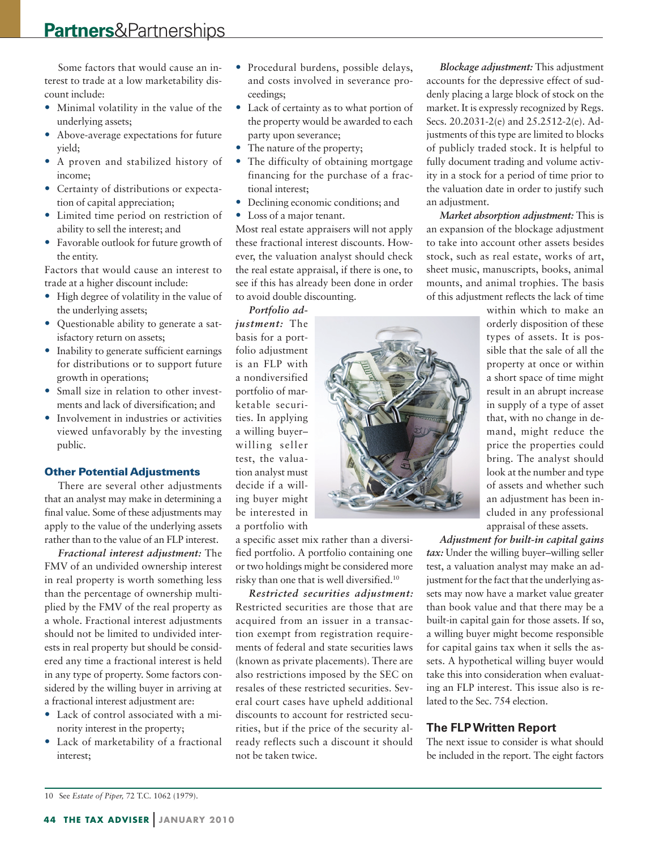# **Partners**&Partnerships

Some factors that would cause an interest to trade at a low marketability discount include:

- Minimal volatility in the value of the underlying assets;
- Above-average expectations for future yield;
- A proven and stabilized history of income;
- Certainty of distributions or expectation of capital appreciation;
- Limited time period on restriction of ability to sell the interest; and
- Favorable outlook for future growth of the entity.

Factors that would cause an interest to trade at a higher discount include:

- High degree of volatility in the value of the underlying assets;
- Questionable ability to generate a satisfactory return on assets;
- Inability to generate sufficient earnings for distributions or to support future growth in operations;
- Small size in relation to other investments and lack of diversification; and
- Involvement in industries or activities viewed unfavorably by the investing public.

#### Other Potential Adjustments

There are several other adjustments that an analyst may make in determining a final value. Some of these adjustments may apply to the value of the underlying assets rather than to the value of an FLP interest.

*Fractional interest adjustment:* The FMV of an undivided ownership interest in real property is worth something less than the percentage of ownership multiplied by the FMV of the real property as a whole. Fractional interest adjustments should not be limited to undivided interests in real property but should be considered any time a fractional interest is held in any type of property. Some factors considered by the willing buyer in arriving at a fractional interest adjustment are:

- Lack of control associated with a minority interest in the property;
- Lack of marketability of a fractional interest;
- Procedural burdens, possible delays, and costs involved in severance proceedings;
- Lack of certainty as to what portion of the property would be awarded to each party upon severance;
- The nature of the property;
- The difficulty of obtaining mortgage financing for the purchase of a fractional interest;
- Declining economic conditions; and
- Loss of a major tenant.

Most real estate appraisers will not apply these fractional interest discounts. However, the valuation analyst should check the real estate appraisal, if there is one, to see if this has already been done in order to avoid double discounting.

*Portfolio ad-*

*justment:* The basis for a portfolio adjustment is an FLP with a nondiversified portfolio of marketable securities. In applying a willing buyer– willing seller test, the valuation analyst must decide if a willing buyer might be interested in a portfolio with

a specific asset mix rather than a diversified portfolio. A portfolio containing one or two holdings might be considered more risky than one that is well diversified.10

*Restricted securities adjustment:*  Restricted securities are those that are acquired from an issuer in a transaction exempt from registration requirements of federal and state securities laws (known as private placements). There are also restrictions imposed by the SEC on resales of these restricted securities. Several court cases have upheld additional discounts to account for restricted securities, but if the price of the security already reflects such a discount it should not be taken twice.

*Blockage adjustment:* This adjustment accounts for the depressive effect of suddenly placing a large block of stock on the market. It is expressly recognized by Regs. Secs. 20.2031-2(e) and 25.2512-2(e). Adjustments of this type are limited to blocks of publicly traded stock. It is helpful to fully document trading and volume activity in a stock for a period of time prior to the valuation date in order to justify such an adjustment.

*Market absorption adjustment:* This is an expansion of the blockage adjustment to take into account other assets besides stock, such as real estate, works of art, sheet music, manuscripts, books, animal mounts, and animal trophies. The basis of this adjustment reflects the lack of time

> within which to make an orderly disposition of these types of assets. It is possible that the sale of all the property at once or within a short space of time might result in an abrupt increase in supply of a type of asset that, with no change in demand, might reduce the price the properties could bring. The analyst should look at the number and type of assets and whether such an adjustment has been included in any professional appraisal of these assets.

*Adjustment for built-in capital gains* 

*tax:* Under the willing buyer–willing seller test, a valuation analyst may make an adjustment for the fact that the underlying assets may now have a market value greater than book value and that there may be a built-in capital gain for those assets. If so, a willing buyer might become responsible for capital gains tax when it sells the assets. A hypothetical willing buyer would take this into consideration when evaluating an FLP interest. This issue also is related to the Sec. 754 election.

## **The FLPWritten Report**

The next issue to consider is what should be included in the report. The eight factors